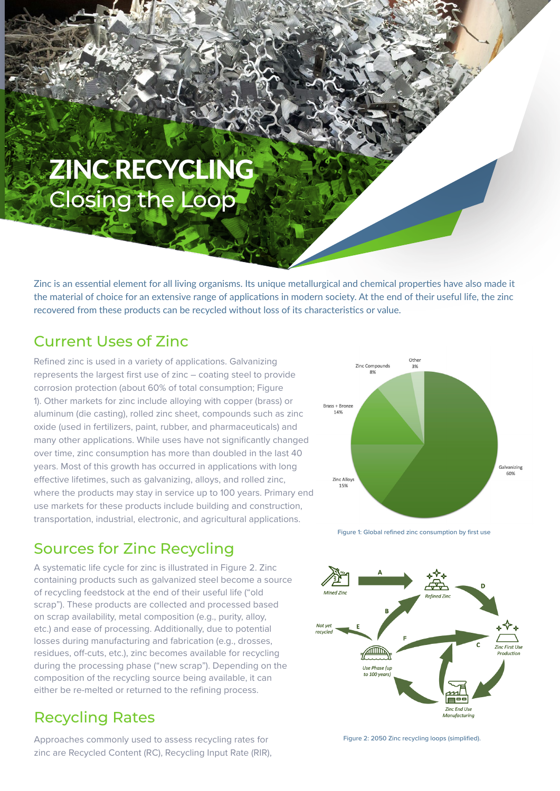# ZINC RECYCLING Closing the Loop

Zinc is an essential element for all living organisms. Its unique metallurgical and chemical properties have also made it the material of choice for an extensive range of applications in modern society. At the end of their useful life, the zinc recovered from these products can be recycled without loss of its characteristics or value.

#### Current Uses of Zinc

Refined zinc is used in a variety of applications. Galvanizing represents the largest first use of zinc – coating steel to provide corrosion protection (about 60% of total consumption; Figure 1). Other markets for zinc include alloying with copper (brass) or aluminum (die casting), rolled zinc sheet, compounds such as zinc oxide (used in fertilizers, paint, rubber, and pharmaceuticals) and many other applications. While uses have not significantly changed over time, zinc consumption has more than doubled in the last 40 years. Most of this growth has occurred in applications with long effective lifetimes, such as galvanizing, alloys, and rolled zinc, where the products may stay in service up to 100 years. Primary end use markets for these products include building and construction, transportation, industrial, electronic, and agricultural applications.

## Sources for Zinc Recycling

A systematic life cycle for zinc is illustrated in Figure 2. Zinc containing products such as galvanized steel become a source of recycling feedstock at the end of their useful life ("old scrap"). These products are collected and processed based on scrap availability, metal composition (e.g., purity, alloy, etc.) and ease of processing. Additionally, due to potential losses during manufacturing and fabrication (e.g., drosses, residues, off-cuts, etc.), zinc becomes available for recycling during the processing phase ("new scrap"). Depending on the composition of the recycling source being available, it can either be re-melted or returned to the refining process.

#### Recycling Rates

Approaches commonly used to assess recycling rates for zinc are Recycled Content (RC), Recycling Input Rate (RIR),



Figure 1: Global refined zinc consumption by first use



Figure 2: 2050 Zinc recycling loops (simplified).